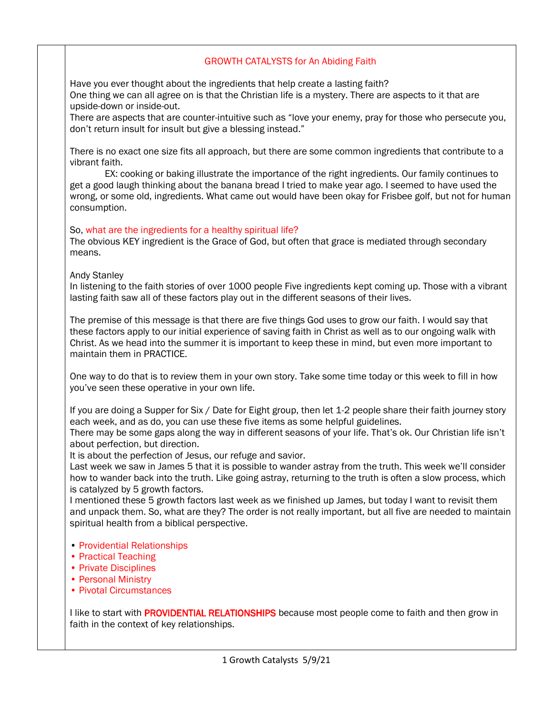### GROWTH CATALYSTS for An Abiding Faith

Have you ever thought about the ingredients that help create a lasting faith? One thing we can all agree on is that the Christian life is a mystery. There are aspects to it that are upside-down or inside-out.

There are aspects that are counter-intuitive such as "love your enemy, pray for those who persecute you, don't return insult for insult but give a blessing instead."

There is no exact one size fits all approach, but there are some common ingredients that contribute to a vibrant faith.

 EX: cooking or baking illustrate the importance of the right ingredients. Our family continues to get a good laugh thinking about the banana bread I tried to make year ago. I seemed to have used the wrong, or some old, ingredients. What came out would have been okay for Frisbee golf, but not for human consumption.

#### So, what are the ingredients for a healthy spiritual life?

The obvious KEY ingredient is the Grace of God, but often that grace is mediated through secondary means.

#### Andy Stanley

In listening to the faith stories of over 1000 people Five ingredients kept coming up. Those with a vibrant lasting faith saw all of these factors play out in the different seasons of their lives.

The premise of this message is that there are five things God uses to grow our faith. I would say that these factors apply to our initial experience of saving faith in Christ as well as to our ongoing walk with Christ. As we head into the summer it is important to keep these in mind, but even more important to maintain them in PRACTICE.

One way to do that is to review them in your own story. Take some time today or this week to fill in how you've seen these operative in your own life.

If you are doing a Supper for Six / Date for Eight group, then let 1-2 people share their faith journey story each week, and as do, you can use these five items as some helpful guidelines.

There may be some gaps along the way in different seasons of your life. That's ok. Our Christian life isn't about perfection, but direction.

It is about the perfection of Jesus, our refuge and savior.

Last week we saw in James 5 that it is possible to wander astray from the truth. This week we'll consider how to wander back into the truth. Like going astray, returning to the truth is often a slow process, which is catalyzed by 5 growth factors.

I mentioned these 5 growth factors last week as we finished up James, but today I want to revisit them and unpack them. So, what are they? The order is not really important, but all five are needed to maintain spiritual health from a biblical perspective.

- Providential Relationships
- Practical Teaching
- Private Disciplines
- Personal Ministry
- Pivotal Circumstances

I like to start with PROVIDENTIAL RELATIONSHIPS because most people come to faith and then grow in faith in the context of key relationships.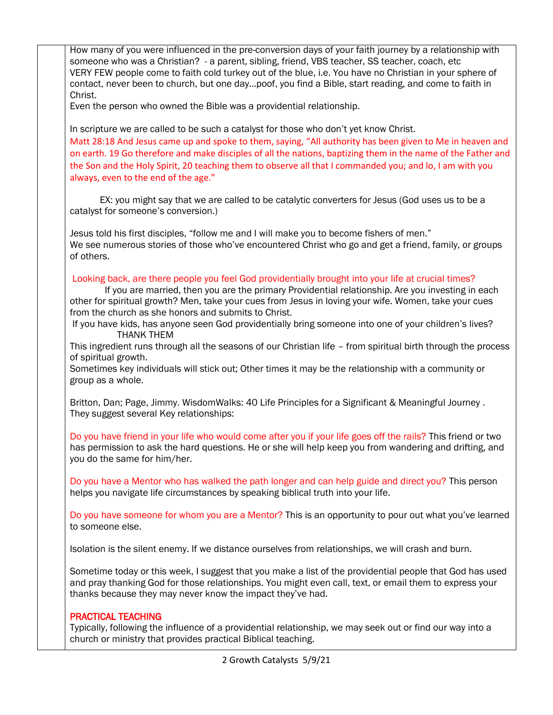2 Growth Catalysts 5/9/21 How many of you were influenced in the pre-conversion days of your faith journey by a relationship with someone who was a Christian? - a parent, sibling, friend, VBS teacher, SS teacher, coach, etc VERY FEW people come to faith cold turkey out of the blue, i.e. You have no Christian in your sphere of contact, never been to church, but one day…poof, you find a Bible, start reading, and come to faith in Christ. Even the person who owned the Bible was a providential relationship. In scripture we are called to be such a catalyst for those who don't yet know Christ. Matt 28:18 And Jesus came up and spoke to them, saying, "All authority has been given to Me in heaven and on earth. 19 Go therefore and make disciples of all the nations, baptizing them in the name of the Father and the Son and the Holy Spirit, 20 teaching them to observe all that I commanded you; and lo, I am with you always, even to the end of the age." EX: you might say that we are called to be catalytic converters for Jesus (God uses us to be a catalyst for someone's conversion.) Jesus told his first disciples, "follow me and I will make you to become fishers of men." We see numerous stories of those who've encountered Christ who go and get a friend, family, or groups of others. Looking back, are there people you feel God providentially brought into your life at crucial times? If you are married, then you are the primary Providential relationship. Are you investing in each other for spiritual growth? Men, take your cues from Jesus in loving your wife. Women, take your cues from the church as she honors and submits to Christ. If you have kids, has anyone seen God providentially bring someone into one of your children's lives? THANK THEM This ingredient runs through all the seasons of our Christian life – from spiritual birth through the process of spiritual growth. Sometimes key individuals will stick out; Other times it may be the relationship with a community or group as a whole. Britton, Dan; Page, Jimmy. WisdomWalks: 40 Life Principles for a Significant & Meaningful Journey . They suggest several Key relationships: Do you have friend in your life who would come after you if your life goes off the rails? This friend or two has permission to ask the hard questions. He or she will help keep you from wandering and drifting, and you do the same for him/her. Do you have a Mentor who has walked the path longer and can help guide and direct you? This person helps you navigate life circumstances by speaking biblical truth into your life. Do you have someone for whom you are a Mentor? This is an opportunity to pour out what you've learned to someone else. Isolation is the silent enemy. If we distance ourselves from relationships, we will crash and burn. Sometime today or this week, I suggest that you make a list of the providential people that God has used and pray thanking God for those relationships. You might even call, text, or email them to express your thanks because they may never know the impact they've had. PRACTICAL TEACHING Typically, following the influence of a providential relationship, we may seek out or find our way into a church or ministry that provides practical Biblical teaching.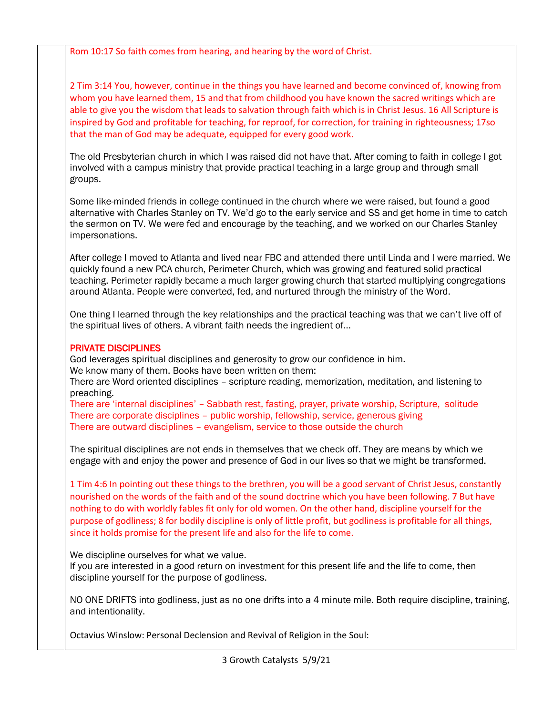Rom 10:17 So faith comes from hearing, and hearing by the word of Christ.

2 Tim 3:14 You, however, continue in the things you have learned and become convinced of, knowing from whom you have learned them, 15 and that from childhood you have known the sacred writings which are able to give you the wisdom that leads to salvation through faith which is in Christ Jesus. 16 All Scripture is inspired by God and profitable for teaching, for reproof, for correction, for training in righteousness; 17so that the man of God may be adequate, equipped for every good work.

The old Presbyterian church in which I was raised did not have that. After coming to faith in college I got involved with a campus ministry that provide practical teaching in a large group and through small groups.

Some like-minded friends in college continued in the church where we were raised, but found a good alternative with Charles Stanley on TV. We'd go to the early service and SS and get home in time to catch the sermon on TV. We were fed and encourage by the teaching, and we worked on our Charles Stanley impersonations.

After college I moved to Atlanta and lived near FBC and attended there until Linda and I were married. We quickly found a new PCA church, Perimeter Church, which was growing and featured solid practical teaching. Perimeter rapidly became a much larger growing church that started multiplying congregations around Atlanta. People were converted, fed, and nurtured through the ministry of the Word.

One thing I learned through the key relationships and the practical teaching was that we can't live off of the spiritual lives of others. A vibrant faith needs the ingredient of…

## PRIVATE DISCIPLINES

God leverages spiritual disciplines and generosity to grow our confidence in him. We know many of them. Books have been written on them:

There are Word oriented disciplines – scripture reading, memorization, meditation, and listening to preaching.

There are 'internal disciplines' – Sabbath rest, fasting, prayer, private worship, Scripture, solitude There are corporate disciplines – public worship, fellowship, service, generous giving There are outward disciplines – evangelism, service to those outside the church

The spiritual disciplines are not ends in themselves that we check off. They are means by which we engage with and enjoy the power and presence of God in our lives so that we might be transformed.

1 Tim 4:6 In pointing out these things to the brethren, you will be a good servant of Christ Jesus, constantly nourished on the words of the faith and of the sound doctrine which you have been following. 7 But have nothing to do with worldly fables fit only for old women. On the other hand, discipline yourself for the purpose of godliness; 8 for bodily discipline is only of little profit, but godliness is profitable for all things, since it holds promise for the present life and also for the life to come.

We discipline ourselves for what we value.

If you are interested in a good return on investment for this present life and the life to come, then discipline yourself for the purpose of godliness.

NO ONE DRIFTS into godliness, just as no one drifts into a 4 minute mile. Both require discipline, training, and intentionality.

Octavius Winslow: Personal Declension and Revival of Religion in the Soul: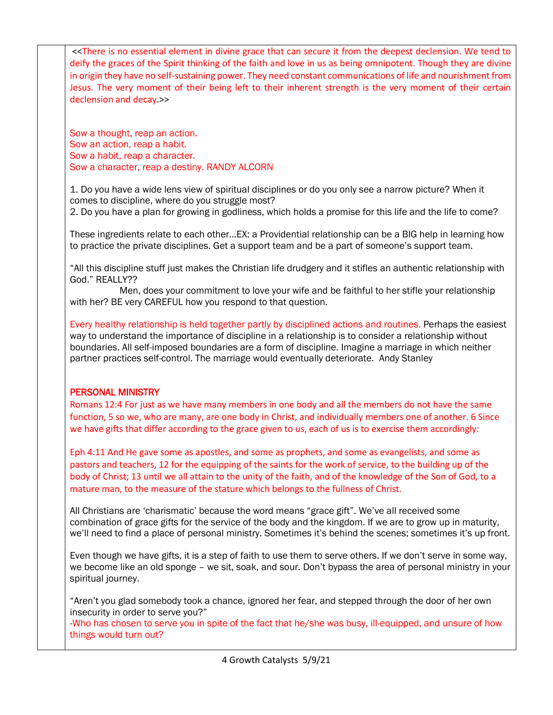<<There is no essential element in divine grace that can secure it from the deepest declension. We tend to deify the graces of the Spirit thinking of the faith and love in us as being omnipotent. Though they are divine in origin they have no self-sustaining power. They need constant communications of life and nourishment from Jesus. The very moment of their being left to their inherent strength is the very moment of their certain declension and decay.>>

Sow a thought, reap an action. Sow an action, reap a habit. Sow a habit, reap a character. Sow a character, reap a destiny. RANDY ALCORN

1. Do you have a wide lens view of spiritual disciplines or do you only see a narrow picture? When it comes to discipline, where do you struggle most?

2. Do you have a plan for growing in godliness, which holds a promise for this life and the life to come?

These ingredients relate to each other…EX: a Providential relationship can be a BIG help in learning how to practice the private disciplines. Get a support team and be a part of someone's support team.

"All this discipline stuff just makes the Christian life drudgery and it stifles an authentic relationship with God." REALLY??

 Men, does your commitment to love your wife and be faithful to her stifle your relationship with her? BE very CAREFUL how you respond to that question.

Every healthy relationship is held together partly by disciplined actions and routines. Perhaps the easiest way to understand the importance of discipline in a relationship is to consider a relationship without boundaries. All self-imposed boundaries are a form of discipline. Imagine a marriage in which neither partner practices self-control. The marriage would eventually deteriorate. Andy Stanley

# PERSONAL MINISTRY

Romans 12:4 For just as we have many members in one body and all the members do not have the same function, 5 so we, who are many, are one body in Christ, and individually members one of another. 6 Since we have gifts that differ according to the grace given to us, each of us is to exercise them accordingly:

Eph 4:11 And He gave some as apostles, and some as prophets, and some as evangelists, and some as pastors and teachers, 12 for the equipping of the saints for the work of service, to the building up of the body of Christ; 13 until we all attain to the unity of the faith, and of the knowledge of the Son of God, to a mature man, to the measure of the stature which belongs to the fullness of Christ.

All Christians are 'charismatic' because the word means "grace gift". We've all received some combination of grace gifts for the service of the body and the kingdom. If we are to grow up in maturity, we'll need to find a place of personal ministry. Sometimes it's behind the scenes; sometimes it's up front.

Even though we have gifts, it is a step of faith to use them to serve others. If we don't serve in some way, we become like an old sponge – we sit, soak, and sour. Don't bypass the area of personal ministry in your spiritual journey.

"Aren't you glad somebody took a chance, ignored her fear, and stepped through the door of her own insecurity in order to serve you?"

-Who has chosen to serve you in spite of the fact that he/she was busy, ill-equipped, and unsure of how things would turn out?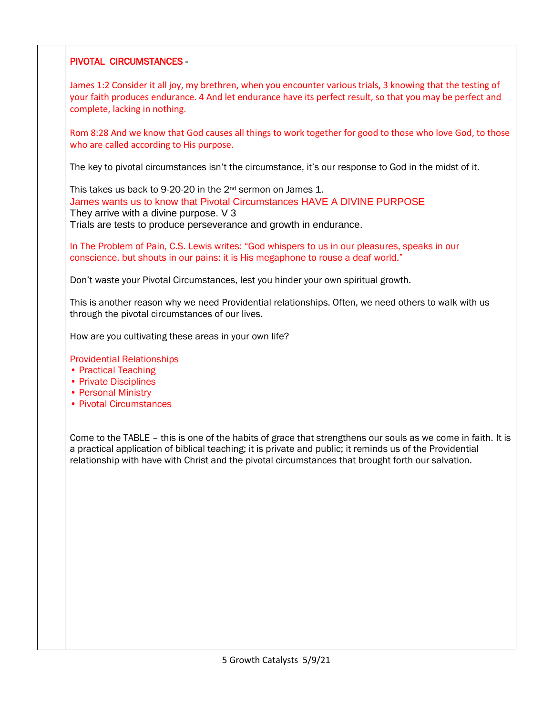## PIVOTAL CIRCUMSTANCES -

James 1:2 Consider it all joy, my brethren, when you encounter various trials, 3 knowing that the testing of your faith produces endurance. 4 And let endurance have its perfect result, so that you may be perfect and complete, lacking in nothing.

Rom 8:28 And we know that God causes all things to work together for good to those who love God, to those who are called according to His purpose.

The key to pivotal circumstances isn't the circumstance, it's our response to God in the midst of it.

This takes us back to 9-20-20 in the 2<sup>nd</sup> sermon on James 1. James wants us to know that Pivotal Circumstances HAVE A DIVINE PURPOSE They arrive with a divine purpose. V 3 Trials are tests to produce perseverance and growth in endurance.

In The Problem of Pain, C.S. Lewis writes: "God whispers to us in our pleasures, speaks in our conscience, but shouts in our pains: it is His megaphone to rouse a deaf world."

Don't waste your Pivotal Circumstances, lest you hinder your own spiritual growth.

This is another reason why we need Providential relationships. Often, we need others to walk with us through the pivotal circumstances of our lives.

How are you cultivating these areas in your own life?

Providential Relationships

- Practical Teaching
- Private Disciplines
- Personal Ministry
- Pivotal Circumstances

Come to the TABLE – this is one of the habits of grace that strengthens our souls as we come in faith. It is a practical application of biblical teaching; it is private and public; it reminds us of the Providential relationship with have with Christ and the pivotal circumstances that brought forth our salvation.